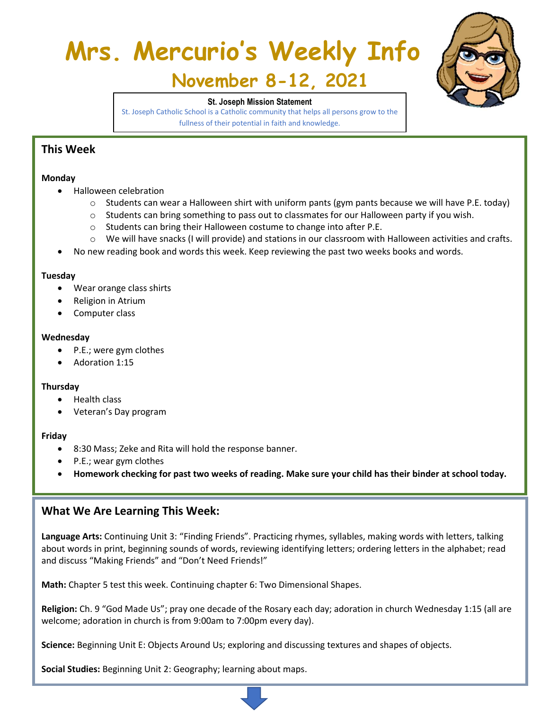# **Mrs. Mercurio's Weekly Info**



# **November 8-12, 2021**

#### **St. Joseph Mission Statement**

St. Joseph Catholic School is a Catholic community that helps all persons grow to the fullness of their potential in faith and knowledge.

# **This Week**

#### **Monday**

- Halloween celebration
	- o Students can wear a Halloween shirt with uniform pants (gym pants because we will have P.E. today)
	- $\circ$  Students can bring something to pass out to classmates for our Halloween party if you wish.
	- o Students can bring their Halloween costume to change into after P.E.
	- o We will have snacks (I will provide) and stations in our classroom with Halloween activities and crafts.
- No new reading book and words this week. Keep reviewing the past two weeks books and words.

#### **Tuesday**

- Wear orange class shirts
- Religion in Atrium
- Computer class

#### **Wednesday**

- P.E.; were gym clothes
- Adoration 1:15

#### **Thursday**

- Health class
- Veteran's Day program

#### **Friday**

- 8:30 Mass; Zeke and Rita will hold the response banner.
- P.E.; wear gym clothes
- **Homework checking for past two weeks of reading. Make sure your child has their binder at school today.**

### **What We Are Learning This Week:**

**Language Arts:** Continuing Unit 3: "Finding Friends". Practicing rhymes, syllables, making words with letters, talking about words in print, beginning sounds of words, reviewing identifying letters; ordering letters in the alphabet; read and discuss "Making Friends" and "Don't Need Friends!"

**Math:** Chapter 5 test this week. Continuing chapter 6: Two Dimensional Shapes.

**Religion:** Ch. 9 "God Made Us"; pray one decade of the Rosary each day; adoration in church Wednesday 1:15 (all are welcome; adoration in church is from 9:00am to 7:00pm every day).

**Science:** Beginning Unit E: Objects Around Us; exploring and discussing textures and shapes of objects.

**Social Studies:** Beginning Unit 2: Geography; learning about maps.